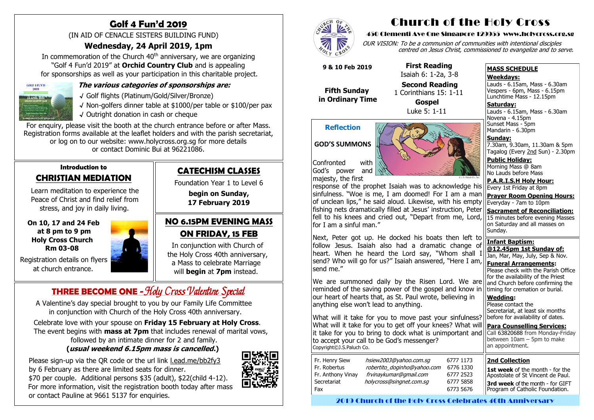### **Introduction to CHRISTIAN MEDIATION**

 Learn meditation to experience the Peace of Christ and find relief from stress, and joy in daily living.

 **On 10, 17 and 24 Feb at 8 pm to 9 pm Holy Cross Church Rm 03-08**

 Registration details on flyers at church entrance.



# **Golf 4 Fun'd 2019**

In commemoration of the Church  $40<sup>th</sup>$  anniversary, we are organizing "Golf 4 Fun'd 2019" at **Orchid Country Club** and is appealing for sponsorships as well as your participation in this charitable project.



(IN AID OF CENACLE SISTERS BUILDING FUND)

### **Wednesday, 24 April 2019, 1pm**

#### **The various categories of sponsorships are:**

- √ Golf flights (Platinum/Gold/Silver/Bronze)
- √ Non-golfers dinner table at \$1000/per table or \$100/per pax
- √ Outright donation in cash or cheque

For enquiry, please visit the booth at the church entrance before or after Mass. Registration forms available at the leaflet holders and with the parish secretariat, or log on to our website: www.holycross.org.sg for more details or contact Dominic Bui at 96221086.

A Valentine's day special brought to you by our Family Life Committee in conjunction with Church of the Holy Cross 40th anniversary.

**Saturday:** Lauds - 6.15am, Mass - 6.30am Novena - 4.15pm Sunset Mass - 5pm Mandarin - 6.30pm

Celebrate love with your spouse on **Friday 15 February at Holy Cross**. The event begins with **mass at 7pm** that includes renewal of marital vows, followed by an intimate dinner for 2 and family.

### **(usual weekend 6.15pm mass is cancelled.)**

 Please sign-up via the QR code or the url link l.ead.me/bb2fy3 by 6 February as there are limited seats for dinner. \$70 per couple. Additional persons \$35 (adult), \$22(child 4-12). For more information, visit the registration booth today after mass or contact Pauline at 9661 5137 for enquiries.





### **CATECHISM CLASSES**

Foundation Year 1 to Level 6

**begin on Sunday, 17 February 2019**

### **NO 6.15PM EVENING MASS ON FRIDAY, 15 FEB**

 In conjunction with Church of the Holy Cross 40th anniversary, a Mass to celebrate Marriage will **begin** at **7pm** instead.

# **THREE BECOME ONE** - Holy Cross Valentine Special

# Church of the Holy Cross

#### 450 Clementi Ave One Singapore 129955 www.holycross.org.sg

OUR VISION: To be a communion of communities with intentional disciples centred on Jesus Christ, commissioned to evangelize and to serve.

#### **MASS SCHEDULE**

#### **Weekdays:**

Lauds - 6.15am, Mass - 6.30am Vespers - 6pm, Mass - 6.15pm Lunchtime Mass - 12.15pm

**Sunday:** 7.30am, 9.30am, 11.30am & 5pm Tagalog (Every 2nd Sun) - 2.30pm

**Public Holiday:**  Morning Mass @ 8am No Lauds before Mass

**P.A.R.I.S.H Holy Hour:** Every 1st Friday at 8pm

**Prayer Room Opening Hours:** Everyday - 7am to 10pm

**Sacrament of Reconciliation:** 15 minutes before evening Masses on Saturday and all masses on Sunday.

**Infant Baptism: @12.45pm 1st Sunday of:** Jan, Mar, May, July, Sep & Nov.

**Funeral Arrangements:**  Please check with the Parish Office for the availability of the Priest and Church before confirming the timing for cremation or burial.

**Wedding:**  Please contact the Secretariat, at least six months

#### **Reflection**

**GOD'S SUMMONS**



Confronted with God's power and majesty, the first

response of the prophet Isaiah was to acknowledge his sinfulness. "Woe is me, I am doomed! For I am a man of unclean lips," he said aloud. Likewise, with his empty fishing nets dramatically filled at Jesus' instruction, Peter fell to his knees and cried out, "Depart from me, Lord, for I am a sinful man."

before for availability of dates. **Para Counselling Services:** Call [63820688](tel:+6563820688) from Monday-Friday between  $10$ am – 5pm to make an appointment. What will it take for you to move past your sinfulness? What will it take for you to get off your knees? What will it take for you to bring to dock what is unimportant and to accept your call to be God's messenger? Copyright©J.S.Paluch Co.

Next, Peter got up. He docked his boats then left to follow Jesus. Isaiah also had a dramatic change of heart. When he heard the Lord say, "Whom shall I send? Who will go for us?" Isaiah answered, "Here I am, send me."

We are summoned daily by the Risen Lord. We are reminded of the saving power of the gospel and know in our heart of hearts that, as St. Paul wrote, believing in anything else won't lead to anything.

 **9 & 10 Feb 2019**

 **Fifth Sunday in Ordinary Time**

 **First Reading** Isaiah 6: 1-2a, 3-8

 **Second Reading** 1 Corinthians 15: 1-11 **Gospel**

Luke 5: 1-11

#### **2nd Collection**

**1st week** of the month - for the Apostolate of St Vincent de Paul. **3rd week** of the month - for GIFT Program of Catholic Foundation.

2019 Church of the Holy Cross Celebrates 40th Anniversary

| Fr. Henry Siew    | hsiew2003@yahoo.com.sg      |   |
|-------------------|-----------------------------|---|
| Fr. Robertus      | robertito doginho@yahoo.com | f |
| Fr. Anthony Vinay | frvinaykumar@gmail.com      |   |
| Secretariat       | holycross@singnet.com.sq    |   |
| Fax               |                             |   |